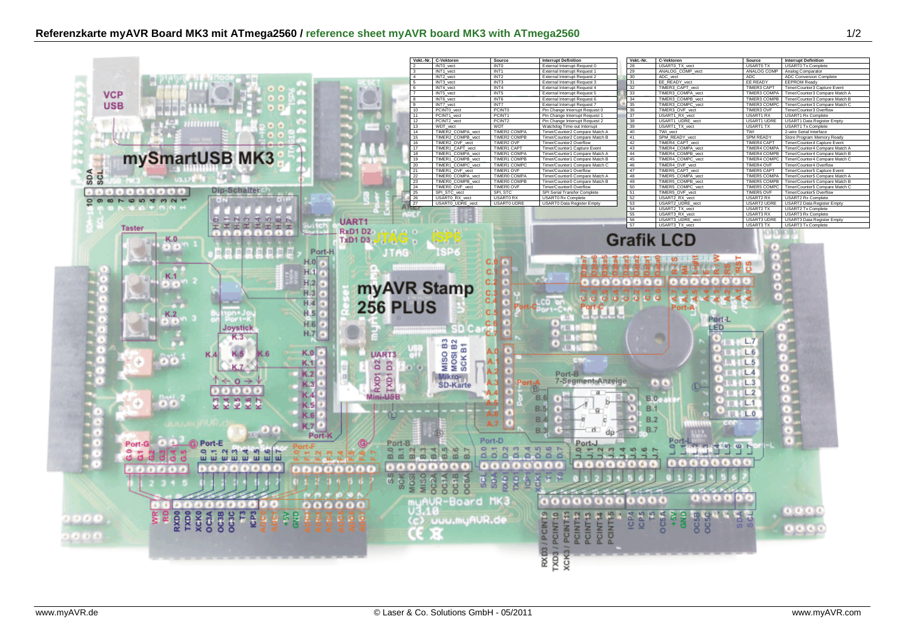